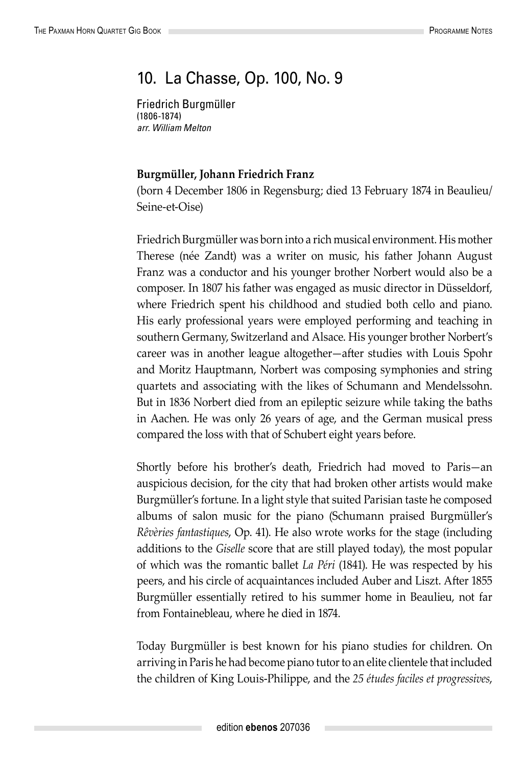## 10. La Chasse, Op. 100, No. 9

Friedrich Burgmüller (1806-1874) *arr. William Melton*

## **Burgmüller, Johann Friedrich Franz**

(born 4 December 1806 in Regensburg; died 13 February 1874 in Beaulieu/ Seine-et-Oise)

Friedrich Burgmüller was born into a rich musical environment. His mother Therese (née Zandt) was a writer on music, his father Johann August Franz was a conductor and his younger brother Norbert would also be a composer. In 1807 his father was engaged as music director in Düsseldorf, where Friedrich spent his childhood and studied both cello and piano. His early professional years were employed performing and teaching in southern Germany, Switzerland and Alsace. His younger brother Norbert's career was in another league altogether—after studies with Louis Spohr and Moritz Hauptmann, Norbert was composing symphonies and string quartets and associating with the likes of Schumann and Mendelssohn. But in 1836 Norbert died from an epileptic seizure while taking the baths in Aachen. He was only 26 years of age, and the German musical press compared the loss with that of Schubert eight years before.

Shortly before his brother's death, Friedrich had moved to Paris—an auspicious decision, for the city that had broken other artists would make Burgmüller's fortune. In a light style that suited Parisian taste he composed albums of salon music for the piano (Schumann praised Burgmüller's *Rêvèries fantastiques*, Op. 41). He also wrote works for the stage (including additions to the *Giselle* score that are still played today), the most popular of which was the romantic ballet *La Péri* (1841). He was respected by his peers, and his circle of acquaintances included Auber and Liszt. After 1855 Burgmüller essentially retired to his summer home in Beaulieu, not far from Fontainebleau, where he died in 1874.

Today Burgmüller is best known for his piano studies for children. On arriving in Paris he had become piano tutor to an elite clientele that included the children of King Louis-Philippe, and the *25 études faciles et progressives*,